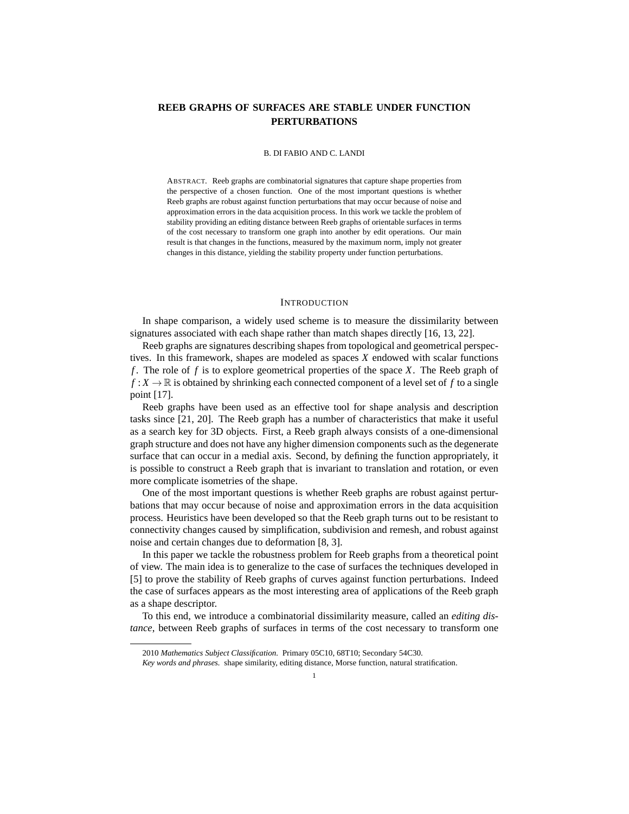# **REEB GRAPHS OF SURFACES ARE STABLE UNDER FUNCTION PERTURBATIONS**

#### B. DI FABIO AND C. LANDI

ABSTRACT. Reeb graphs are combinatorial signatures that capture shape properties from the perspective of a chosen function. One of the most important questions is whether Reeb graphs are robust against function perturbations that may occur because of noise and approximation errors in the data acquisition process. In this work we tackle the problem of stability providing an editing distance between Reeb graphs of orientable surfaces in terms of the cost necessary to transform one graph into another by edit operations. Our main result is that changes in the functions, measured by the maximum norm, imply not greater changes in this distance, yielding the stability property under function perturbations.

#### **INTRODUCTION**

In shape comparison, a widely used scheme is to measure the dissimilarity between signatures associated with each shape rather than match shapes directly [16, 13, 22].

Reeb graphs are signatures describing shapes from topological and geometrical perspectives. In this framework, shapes are modeled as spaces *X* endowed with scalar functions *f* . The role of *f* is to explore geometrical properties of the space *X*. The Reeb graph of  $f: X \to \mathbb{R}$  is obtained by shrinking each connected component of a level set of f to a single point [17].

Reeb graphs have been used as an effective tool for shape analysis and description tasks since [21, 20]. The Reeb graph has a number of characteristics that make it useful as a search key for 3D objects. First, a Reeb graph always consists of a one-dimensional graph structure and does not have any higher dimension components such as the degenerate surface that can occur in a medial axis. Second, by defining the function appropriately, it is possible to construct a Reeb graph that is invariant to translation and rotation, or even more complicate isometries of the shape.

One of the most important questions is whether Reeb graphs are robust against perturbations that may occur because of noise and approximation errors in the data acquisition process. Heuristics have been developed so that the Reeb graph turns out to be resistant to connectivity changes caused by simplification, subdivision and remesh, and robust against noise and certain changes due to deformation [8, 3].

In this paper we tackle the robustness problem for Reeb graphs from a theoretical point of view. The main idea is to generalize to the case of surfaces the techniques developed in [5] to prove the stability of Reeb graphs of curves against function perturbations. Indeed the case of surfaces appears as the most interesting area of applications of the Reeb graph as a shape descriptor.

To this end, we introduce a combinatorial dissimilarity measure, called an *editing distance*, between Reeb graphs of surfaces in terms of the cost necessary to transform one

<sup>2010</sup> *Mathematics Subject Classification.* Primary 05C10, 68T10; Secondary 54C30.

*Key words and phrases.* shape similarity, editing distance, Morse function, natural stratification.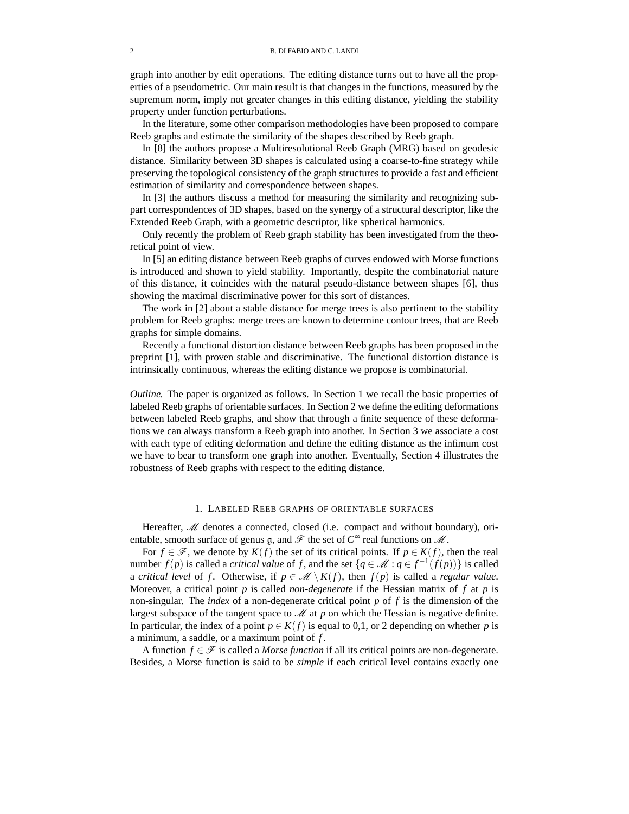graph into another by edit operations. The editing distance turns out to have all the properties of a pseudometric. Our main result is that changes in the functions, measured by the supremum norm, imply not greater changes in this editing distance, yielding the stability property under function perturbations.

In the literature, some other comparison methodologies have been proposed to compare Reeb graphs and estimate the similarity of the shapes described by Reeb graph.

In [8] the authors propose a Multiresolutional Reeb Graph (MRG) based on geodesic distance. Similarity between 3D shapes is calculated using a coarse-to-fine strategy while preserving the topological consistency of the graph structures to provide a fast and efficient estimation of similarity and correspondence between shapes.

In [3] the authors discuss a method for measuring the similarity and recognizing subpart correspondences of 3D shapes, based on the synergy of a structural descriptor, like the Extended Reeb Graph, with a geometric descriptor, like spherical harmonics.

Only recently the problem of Reeb graph stability has been investigated from the theoretical point of view.

In [5] an editing distance between Reeb graphs of curves endowed with Morse functions is introduced and shown to yield stability. Importantly, despite the combinatorial nature of this distance, it coincides with the natural pseudo-distance between shapes [6], thus showing the maximal discriminative power for this sort of distances.

The work in [2] about a stable distance for merge trees is also pertinent to the stability problem for Reeb graphs: merge trees are known to determine contour trees, that are Reeb graphs for simple domains.

Recently a functional distortion distance between Reeb graphs has been proposed in the preprint [1], with proven stable and discriminative. The functional distortion distance is intrinsically continuous, whereas the editing distance we propose is combinatorial.

*Outline*. The paper is organized as follows. In Section 1 we recall the basic properties of labeled Reeb graphs of orientable surfaces. In Section 2 we define the editing deformations between labeled Reeb graphs, and show that through a finite sequence of these deformations we can always transform a Reeb graph into another. In Section 3 we associate a cost with each type of editing deformation and define the editing distance as the infimum cost we have to bear to transform one graph into another. Eventually, Section 4 illustrates the robustness of Reeb graphs with respect to the editing distance.

## 1. LABELED REEB GRAPHS OF ORIENTABLE SURFACES

Hereafter,  $M$  denotes a connected, closed (i.e. compact and without boundary), orientable, smooth surface of genus  $\mathfrak g$ , and  $\mathscr F$  the set of  $C^{\infty}$  real functions on  $\mathscr M$ .

For  $f \in \mathcal{F}$ , we denote by  $K(f)$  the set of its critical points. If  $p \in K(f)$ , then the real number *f*(*p*) is called a *critical value* of *f*, and the set { $q \in M : q \in f^{-1}(f(p))$ } is called a *critical level* of *f*. Otherwise, if  $p \in \mathcal{M} \setminus K(f)$ , then  $f(p)$  is called a *regular value*. Moreover, a critical point *p* is called *non-degenerate* if the Hessian matrix of *f* at *p* is non-singular. The *index* of a non-degenerate critical point *p* of *f* is the dimension of the largest subspace of the tangent space to *M* at *p* on which the Hessian is negative definite. In particular, the index of a point  $p \in K(f)$  is equal to 0,1, or 2 depending on whether *p* is a minimum, a saddle, or a maximum point of *f* .

A function  $f \in \mathcal{F}$  is called a *Morse function* if all its critical points are non-degenerate. Besides, a Morse function is said to be *simple* if each critical level contains exactly one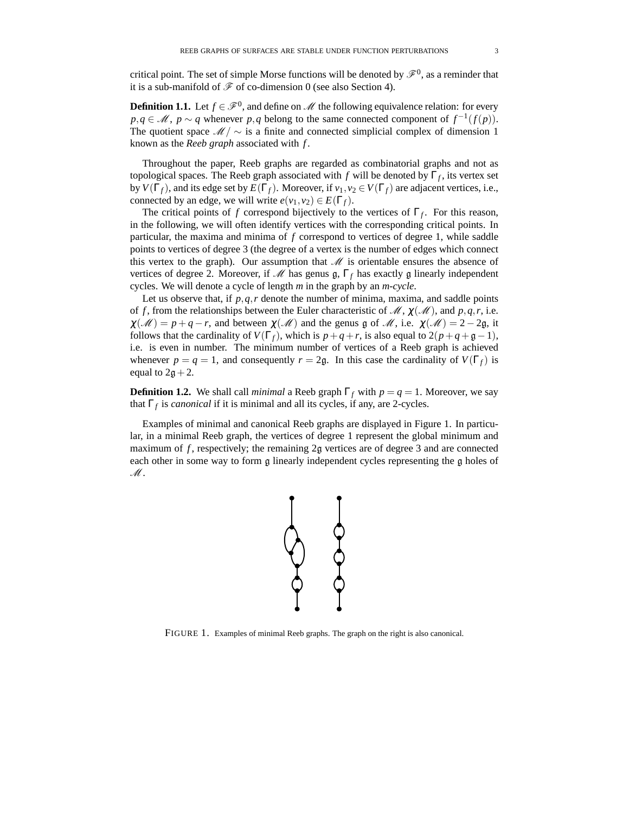critical point. The set of simple Morse functions will be denoted by  $\mathscr{F}^0$ , as a reminder that it is a sub-manifold of  $\mathscr F$  of co-dimension 0 (see also Section 4).

**Definition 1.1.** Let  $f \in \mathcal{F}^0$ , and define on  $\mathcal{M}$  the following equivalence relation: for every *p*,*q* ∈ *M*, *p* ∼ *q* whenever *p*,*q* belong to the same connected component of  $f^{-1}(f(p))$ . The quotient space  $\mathcal{M}/\sim$  is a finite and connected simplicial complex of dimension 1 known as the *Reeb graph* associated with *f* .

Throughout the paper, Reeb graphs are regarded as combinatorial graphs and not as topological spaces. The Reeb graph associated with *f* will be denoted by Γ*<sup>f</sup>* , its vertex set by  $V(\Gamma_f)$ , and its edge set by  $E(\Gamma_f)$ . Moreover, if  $v_1, v_2 \in V(\Gamma_f)$  are adjacent vertices, i.e., connected by an edge, we will write  $e(v_1, v_2) \in E(\Gamma_f)$ .

The critical points of *f* correspond bijectively to the vertices of  $\Gamma_f$ . For this reason, in the following, we will often identify vertices with the corresponding critical points. In particular, the maxima and minima of *f* correspond to vertices of degree 1, while saddle points to vertices of degree 3 (the degree of a vertex is the number of edges which connect this vertex to the graph). Our assumption that  $M$  is orientable ensures the absence of vertices of degree 2. Moreover, if M has genus g,  $\Gamma_f$  has exactly g linearly independent cycles. We will denote a cycle of length *m* in the graph by an *m*-*cycle*.

Let us observe that, if  $p, q, r$  denote the number of minima, maxima, and saddle points of *f*, from the relationships between the Euler characteristic of  $\mathcal{M}, \chi(\mathcal{M})$ , and  $p, q, r$ , i.e.  $\chi(\mathcal{M}) = p + q - r$ , and between  $\chi(\mathcal{M})$  and the genus g of  $\mathcal{M}$ , i.e.  $\chi(\mathcal{M}) = 2 - 2g$ , it follows that the cardinality of  $V(\Gamma_f)$ , which is  $p+q+r$ , is also equal to  $2(p+q+g-1)$ , i.e. is even in number. The minimum number of vertices of a Reeb graph is achieved whenever  $p = q = 1$ , and consequently  $r = 2q$ . In this case the cardinality of  $V(\Gamma_f)$  is equal to  $2g + 2$ .

**Definition 1.2.** We shall call *minimal* a Reeb graph  $\Gamma_f$  with  $p = q = 1$ . Moreover, we say that  $\Gamma_f$  is *canonical* if it is minimal and all its cycles, if any, are 2-cycles.

Examples of minimal and canonical Reeb graphs are displayed in Figure 1. In particular, in a minimal Reeb graph, the vertices of degree 1 represent the global minimum and maximum of f, respectively; the remaining 2g vertices are of degree 3 and are connected each other in some way to form g linearly independent cycles representing the g holes of  $\mathscr{M}.$ 



FIGURE 1. Examples of minimal Reeb graphs. The graph on the right is also canonical.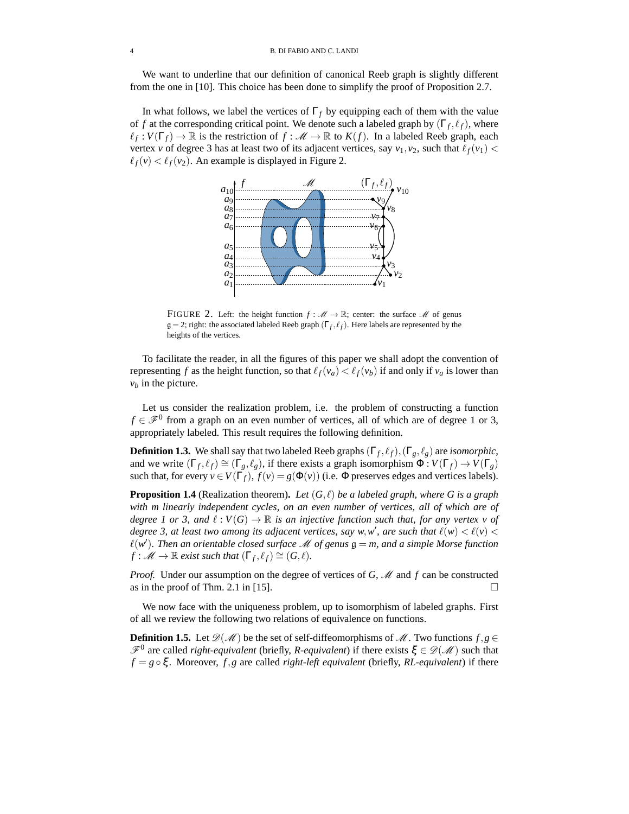We want to underline that our definition of canonical Reeb graph is slightly different from the one in [10]. This choice has been done to simplify the proof of Proposition 2.7.

In what follows, we label the vertices of  $\Gamma_f$  by equipping each of them with the value of *f* at the corresponding critical point. We denote such a labeled graph by  $(\Gamma_f, \ell_f)$ , where  $\ell_f: V(\Gamma_f) \to \mathbb{R}$  is the restriction of  $f: \mathcal{M} \to \mathbb{R}$  to  $K(f)$ . In a labeled Reeb graph, each vertex *v* of degree 3 has at least two of its adjacent vertices, say  $v_1, v_2$ , such that  $\ell_f(v_1)$  <  $\ell_f(v) < \ell_f(v_2)$ . An example is displayed in Figure 2.



FIGURE 2. Left: the height function  $f : \mathcal{M} \to \mathbb{R}$ ; center: the surface  $\mathcal{M}$  of genus  $\mathfrak{g} = 2$ ; right: the associated labeled Reeb graph  $(\Gamma_f, \ell_f)$ . Here labels are represented by the heights of the vertices.

To facilitate the reader, in all the figures of this paper we shall adopt the convention of representing *f* as the height function, so that  $\ell_f(v_a) < \ell_f(v_b)$  if and only if  $v_a$  is lower than  $v_b$  in the picture.

Let us consider the realization problem, i.e. the problem of constructing a function  $f \in \mathcal{F}^0$  from a graph on an even number of vertices, all of which are of degree 1 or 3, appropriately labeled. This result requires the following definition.

**Definition 1.3.** We shall say that two labeled Reeb graphs  $(\Gamma_f, \ell_f), (\Gamma_g, \ell_g)$  are *isomorphic*, and we write  $(\Gamma_f, \ell_f) \cong (\Gamma_g, \ell_g)$ , if there exists a graph isomorphism  $\Phi: V(\Gamma_f) \to V(\Gamma_g)$ such that, for every  $v \in V(\Gamma_f)$ ,  $f(v) = g(\Phi(v))$  (i.e.  $\Phi$  preserves edges and vertices labels).

**Proposition 1.4** (Realization theorem). Let  $(G, \ell)$  be a labeled graph, where G is a graph *with m linearly independent cycles, on an even number of vertices, all of which are of degree 1 or 3, and*  $\ell : V(G) \to \mathbb{R}$  *is an injective function such that, for any vertex v of degree 3, at least two among its adjacent vertices, say w,w', are such that*  $\ell(w) < \ell(v)$  <  $\ell(w')$ . Then an orientable closed surface *M* of genus  $\mathfrak{g} = m$ , and a simple Morse function  $f: M \to \mathbb{R}$  exist such that  $(\Gamma_f, \ell_f) \cong (G, \ell)$ .

*Proof.* Under our assumption on the degree of vertices of G, M and f can be constructed as in the proof of Thm. 2.1 in [15].  $\Box$ 

We now face with the uniqueness problem, up to isomorphism of labeled graphs. First of all we review the following two relations of equivalence on functions.

**Definition 1.5.** Let  $\mathcal{D}(\mathcal{M})$  be the set of self-diffeomorphisms of  $\mathcal{M}$ . Two functions  $f, g \in$  $\mathscr{F}^0$  are called *right-equivalent* (briefly, *R-equivalent*) if there exists  $\xi \in \mathscr{D}(\mathscr{M})$  such that  $f = g \circ \xi$ . Moreover,  $f, g$  are called *right-left equivalent* (briefly, *RL-equivalent*) if there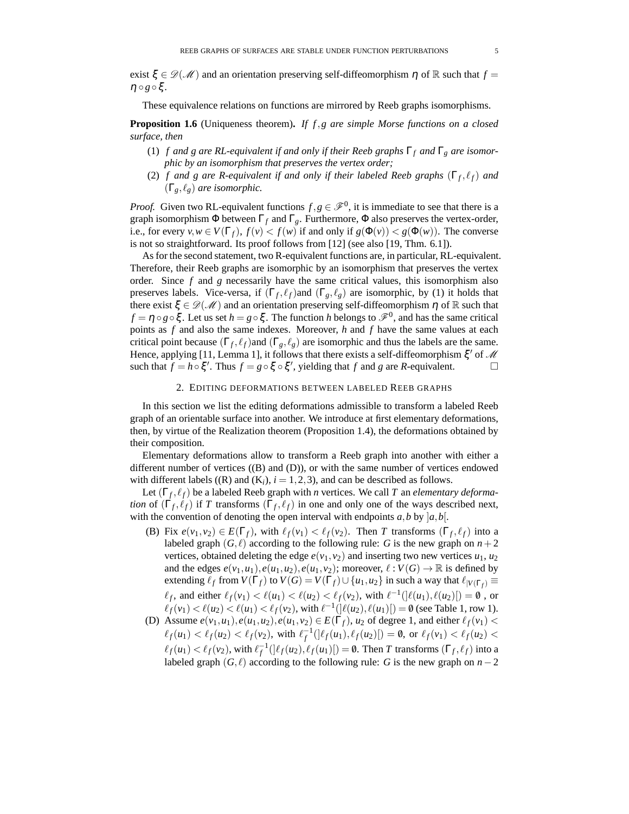exist  $\xi \in \mathscr{D}(\mathscr{M})$  and an orientation preserving self-diffeomorphism  $\eta$  of R such that  $f =$  $\eta \circ g \circ \xi$ .

These equivalence relations on functions are mirrored by Reeb graphs isomorphisms.

**Proposition 1.6** (Uniqueness theorem)**.** *If f*,*g are simple Morse functions on a closed surface, then*

- (1) *f and g are RL-equivalent if and only if their Reeb graphs* Γ*<sup>f</sup> and* Γ*<sup>g</sup> are isomorphic by an isomorphism that preserves the vertex order;*
- (2) *f* and g are R-equivalent if and only if their labeled Reeb graphs  $(\Gamma_f, \ell_f)$  and  $(\Gamma_g, \ell_g)$  *are isomorphic.*

*Proof.* Given two RL-equivalent functions  $f, g \in \mathcal{F}^0$ , it is immediate to see that there is a graph isomorphism Φ between  $Γ_f$  and  $Γ_g$ . Furthermore, Φ also preserves the vertex-order, i.e., for every  $v, w \in V(\Gamma_f)$ ,  $f(v) < f(w)$  if and only if  $g(\Phi(v)) < g(\Phi(w))$ . The converse is not so straightforward. Its proof follows from [12] (see also [19, Thm. 6.1]).

As for the second statement, two R-equivalent functions are, in particular, RL-equivalent. Therefore, their Reeb graphs are isomorphic by an isomorphism that preserves the vertex order. Since  $f$  and  $g$  necessarily have the same critical values, this isomorphism also preserves labels. Vice-versa, if  $(\Gamma_f, \ell_f)$ and  $(\Gamma_g, \ell_g)$  are isomorphic, by (1) it holds that there exist  $\xi \in \mathcal{D}(\mathcal{M})$  and an orientation preserving self-diffeomorphism  $\eta$  of  $\mathbb R$  such that  $f = \eta \circ g \circ \xi$ . Let us set  $h = g \circ \xi$ . The function *h* belongs to  $\mathscr{F}^0$ , and has the same critical points as *f* and also the same indexes. Moreover, *h* and *f* have the same values at each critical point because  $(\Gamma_f, \ell_f)$ and  $(\Gamma_g, \ell_g)$  are isomorphic and thus the labels are the same. Hence, applying [11, Lemma 1], it follows that there exists a self-diffeomorphism  $\xi'$  of M such that  $f = h \circ \xi'$ . Thus  $f = g \circ \xi \circ \xi'$ , yielding that *f* and *g* are *R*-equivalent.

## 2. EDITING DEFORMATIONS BETWEEN LABELED REEB GRAPHS

In this section we list the editing deformations admissible to transform a labeled Reeb graph of an orientable surface into another. We introduce at first elementary deformations, then, by virtue of the Realization theorem (Proposition 1.4), the deformations obtained by their composition.

Elementary deformations allow to transform a Reeb graph into another with either a different number of vertices  $((B)$  and  $(D)$ ), or with the same number of vertices endowed with different labels  $((R)$  and  $(K_i)$ ,  $i = 1, 2, 3$ ), and can be described as follows.

Let (Γ<sub>f</sub>,  $\ell_f$ ) be a labeled Reeb graph with *n* vertices. We call *T* an *elementary deformation* of  $(\Gamma_f, \ell_f)$  if *T* transforms  $(\Gamma_f, \ell_f)$  in one and only one of the ways described next, with the convention of denoting the open interval with endpoints  $a, b$  by  $|a, b|$ .

(B) Fix  $e(v_1, v_2) \in E(\Gamma_f)$ , with  $\ell_f(v_1) < \ell_f(v_2)$ . Then *T* transforms  $(\Gamma_f, \ell_f)$  into a labeled graph  $(G, \ell)$  according to the following rule: *G* is the new graph on  $n+2$ vertices, obtained deleting the edge  $e(v_1, v_2)$  and inserting two new vertices  $u_1, u_2$ and the edges  $e(v_1, u_1), e(u_1, u_2), e(u_1, v_2)$ ; moreover,  $\ell : V(G) \to \mathbb{R}$  is defined by extending  $\ell_f$  from  $V(\Gamma_f)$  to  $V(G) = V(\Gamma_f) \cup \{u_1, u_2\}$  in such a way that  $\ell_{|V(\Gamma_f)} \equiv$  $\ell_f$ , and either  $\ell_f(v_1) < \ell(u_1) < \ell(u_2) < \ell_f(v_2)$ , with  $\ell^{-1}(\ell(u_1), \ell(u_2)) = \emptyset$ , or

 $\ell_f(v_1) < \ell(u_2) < \ell(u_1) < \ell_f(v_2)$ , with  $\ell^{-1}(\ell(u_2), \ell(u_1)[) = \emptyset$  (see Table 1, row 1). (D) Assume  $e(v_1, u_1), e(u_1, u_2), e(u_1, v_2) \in E(\Gamma_f)$ ,  $u_2$  of degree 1, and either  $\ell_f(v_1)$  <

 $\ell_f(u_1) < \ell_f(u_2) < \ell_f(v_2)$ , with  $\ell_f^{-1}(\ell_f(u_1), \ell_f(u_2) = 0$ , or  $\ell_f(v_1) < \ell_f(u_2)$  $\ell_f(u_1) < \ell_f(v_2)$ , with  $\ell_f^{-1}(\ell_f(u_2), \ell_f(u_1)[) = \emptyset$ . Then *T* transforms  $(\Gamma_f, \ell_f)$  into a labeled graph  $(G, \ell)$  according to the following rule: *G* is the new graph on *n* − 2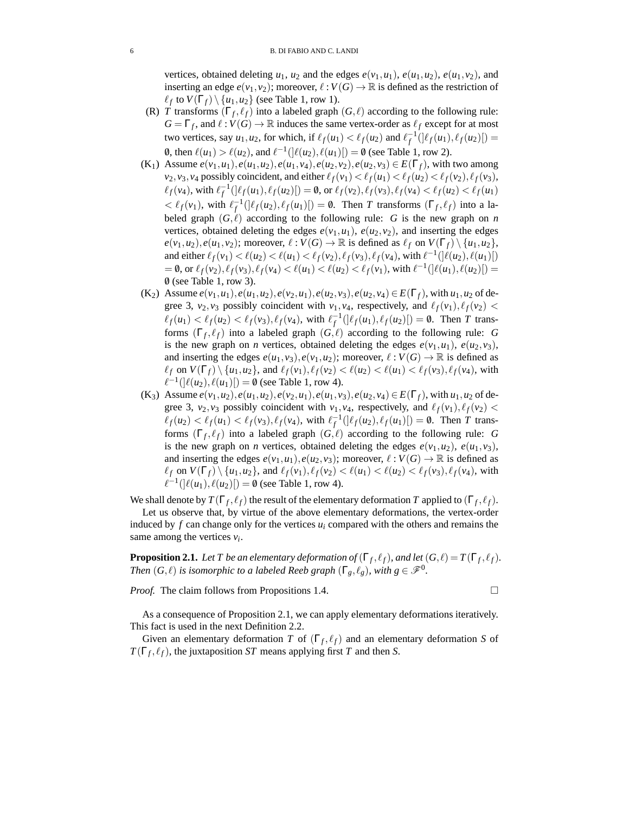vertices, obtained deleting  $u_1$ ,  $u_2$  and the edges  $e(v_1, u_1)$ ,  $e(u_1, u_2)$ ,  $e(u_1, v_2)$ , and inserting an edge  $e(v_1, v_2)$ ; moreover,  $\ell : V(G) \to \mathbb{R}$  is defined as the restriction of  $\ell_f$  to  $V(\Gamma_f) \setminus \{u_1, u_2\}$  (see Table 1, row 1).

- (R) *T* transforms  $(\Gamma_f, \ell_f)$  into a labeled graph  $(G, \ell)$  according to the following rule:  $G = \Gamma_f$ , and  $\ell : V(G) \to \mathbb{R}$  induces the same vertex-order as  $\ell_f$  except for at most two vertices, say  $u_1, u_2$ , for which, if  $\ell_f(u_1) < \ell_f(u_2)$  and  $\ell_f^{-1}(\ell_f(u_1), \ell_f(u_2)) =$ 0, then  $\ell(u_1) > \ell(u_2)$ , and  $\ell^{-1}(|\ell(u_2), \ell(u_1)|) = 0$  (see Table 1, row 2).
- $(K_1)$  Assume  $e(v_1, u_1), e(u_1, u_2), e(u_1, v_4), e(u_2, v_2), e(u_2, v_3) \in E(\Gamma_f)$ , with two among  $v_2$ ,  $v_3$ ,  $v_4$  possibly coincident, and either  $\ell_f(v_1) < \ell_f(u_1) < \ell_f(u_2) < \ell_f(v_2)$ ,  $\ell_f(v_3)$ ,  $\ell_f(v_4)$ , with  $\ell_f^{-1}(\ell_f(u_1), \ell_f(u_2)[) = \emptyset$ , or  $\ell_f(v_2), \ell_f(v_3), \ell_f(v_4) < \ell_f(u_2) < \ell_f(u_1)$  $<\ell_f(v_1)$ , with  $\ell_f^{-1}(\ell_f(u_2), \ell_f(u_1)$  = 0. Then *T* transforms  $(\Gamma_f, \ell_f)$  into a labeled graph  $(G, \ell)$  according to the following rule: *G* is the new graph on *n* vertices, obtained deleting the edges  $e(v_1, u_1)$ ,  $e(u_2, v_2)$ , and inserting the edges  $e(v_1, u_2), e(u_1, v_2)$ ; moreover,  $\ell : V(G) \to \mathbb{R}$  is defined as  $\ell_f$  on  $V(\Gamma_f) \setminus \{u_1, u_2\}$ , and either  $\ell_f(v_1) < \ell(u_2) < \ell(u_1) < \ell_f(v_2), \ell_f(v_3), \ell_f(v_4)$ , with  $\ell^{-1}(\ell(u_2), \ell(u_1)[)$  $= 0$ , or  $\ell_f(v_2), \ell_f(v_3), \ell_f(v_4) < \ell(u_1) < \ell(u_2) < \ell_f(v_1)$ , with  $\ell^{-1}(\ell(u_1), \ell(u_2)) =$ /0 (see Table 1, row 3).
- (K<sub>2</sub>) Assume  $e(v_1, u_1), e(u_1, u_2), e(v_2, u_1), e(u_2, v_3), e(u_2, v_4) \in E(\Gamma_f)$ , with  $u_1, u_2$  of degree 3,  $v_2$ ,  $v_3$  possibly coincident with  $v_1$ ,  $v_4$ , respectively, and  $\ell_f(v_1)$ ,  $\ell_f(v_2)$  <  $\ell_f(u_1) < \ell_f(u_2) < \ell_f(v_3), \ell_f(v_4)$ , with  $\ell_f^{-1}(\ell_f(u_1), \ell_f(u_2)) = 0$ . Then *T* transforms  $(\Gamma_f, \ell_f)$  into a labeled graph  $(G, \ell)$  according to the following rule: *G* is the new graph on *n* vertices, obtained deleting the edges  $e(v_1, u_1)$ ,  $e(u_2, v_3)$ , and inserting the edges  $e(u_1, v_3), e(v_1, u_2)$ ; moreover,  $\ell: V(G) \to \mathbb{R}$  is defined as  $\ell_f$  on  $V(\Gamma_f) \setminus \{u_1, u_2\}$ , and  $\ell_f(v_1), \ell_f(v_2) < \ell(u_2) < \ell(u_1) < \ell_f(v_3), \ell_f(v_4)$ , with  $\ell^{-1}(|\ell(u_2), \ell(u_1)|) = \emptyset$  (see Table 1, row 4).
- (K<sub>3</sub>) Assume  $e(v_1, u_2), e(u_1, u_2), e(v_2, u_1), e(u_1, v_3), e(u_2, v_4) \in E(\Gamma_f)$ , with  $u_1, u_2$  of degree 3,  $v_2$ ,  $v_3$  possibly coincident with  $v_1$ ,  $v_4$ , respectively, and  $\ell_f(v_1)$ ,  $\ell_f(v_2)$  <  $\ell_f(u_2) < \ell_f(u_1) < \ell_f(v_3), \ell_f(v_4)$ , with  $\ell_f^{-1}(\ell_f(u_2), \ell_f(u_1)[) = \emptyset$ . Then *T* transforms  $(\Gamma_f, \ell_f)$  into a labeled graph  $(G, \ell)$  according to the following rule: *G* is the new graph on *n* vertices, obtained deleting the edges  $e(v_1, u_2)$ ,  $e(u_1, v_3)$ , and inserting the edges  $e(v_1, u_1), e(u_2, v_3)$ ; moreover,  $\ell : V(G) \to \mathbb{R}$  is defined as  $\ell_f$  on  $V(\Gamma_f) \setminus \{u_1, u_2\}$ , and  $\ell_f(v_1), \ell_f(v_2) < \ell(u_1) < \ell(u_2) < \ell_f(v_3), \ell_f(v_4)$ , with  $\ell^{-1}(|\ell(u_1), \ell(u_2)|) = \emptyset$  (see Table 1, row 4).

We shall denote by  $T(\Gamma_f, \ell_f)$  the result of the elementary deformation *T* applied to  $(\Gamma_f, \ell_f)$ .

Let us observe that, by virtue of the above elementary deformations, the vertex-order induced by  $f$  can change only for the vertices  $u_i$  compared with the others and remains the same among the vertices  $v_i$ .

**Proposition 2.1.** *Let*  $T$  *be an elementary deformation of*  $(\Gamma_f, \ell_f)$ *, and let*  $(G, \ell) = T(\Gamma_f, \ell_f)$ *. Then*  $(G, \ell)$  *is isomorphic to a labeled Reeb graph*  $(\Gamma_g, \ell_g)$ *, with*  $g \in \mathscr{F}^0$ *.* 

*Proof.* The claim follows from Propositions 1.4.

$$
\qquad \qquad \Box
$$

As a consequence of Proposition 2.1, we can apply elementary deformations iteratively. This fact is used in the next Definition 2.2.

Given an elementary deformation *T* of  $(\Gamma_f, \ell_f)$  and an elementary deformation *S* of  $T(\Gamma_f, \ell_f)$ , the juxtaposition *ST* means applying first *T* and then *S*.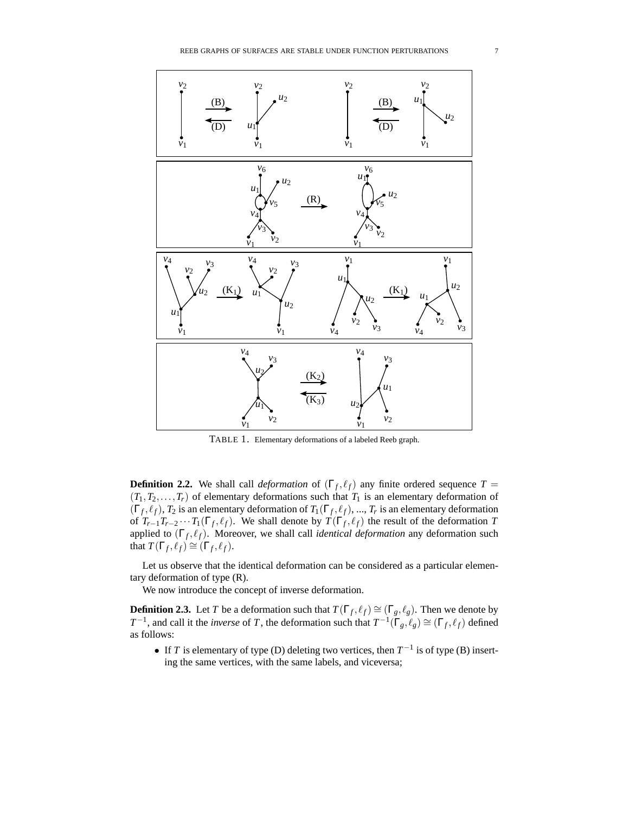

TABLE 1. Elementary deformations of a labeled Reeb graph.

**Definition 2.2.** We shall call *deformation* of  $(\Gamma_f, \ell_f)$  any finite ordered sequence  $T =$  $(T_1, T_2, \ldots, T_r)$  of elementary deformations such that  $T_1$  is an elementary deformation of  $(\Gamma_f, \ell_f)$ ,  $T_2$  is an elementary deformation of  $T_1(\Gamma_f, \ell_f)$ , ...,  $T_r$  is an elementary deformation of  $T_{r-1}T_{r-2}\cdots T_1(\Gamma_f,\ell_f)$ . We shall denote by  $T(\Gamma_f,\ell_f)$  the result of the deformation *T* applied to (Γ<sub>f</sub>,  $\ell$ <sub>f</sub>). Moreover, we shall call *identical deformation* any deformation such that  $T(\Gamma_f, \ell_f) \cong (\Gamma_f, \ell_f)$ .

Let us observe that the identical deformation can be considered as a particular elementary deformation of type (R).

We now introduce the concept of inverse deformation.

**Definition 2.3.** Let *T* be a deformation such that  $T(\Gamma_f, \ell_f) \cong (\Gamma_g, \ell_g)$ . Then we denote by *T*<sup>-1</sup>, and call it the *inverse* of *T*, the deformation such that  $T^{-1}(\Gamma_g, \ell_g) \cong (\Gamma_f, \ell_f)$  defined as follows:

• If *T* is elementary of type (D) deleting two vertices, then *T* −1 is of type (B) inserting the same vertices, with the same labels, and viceversa;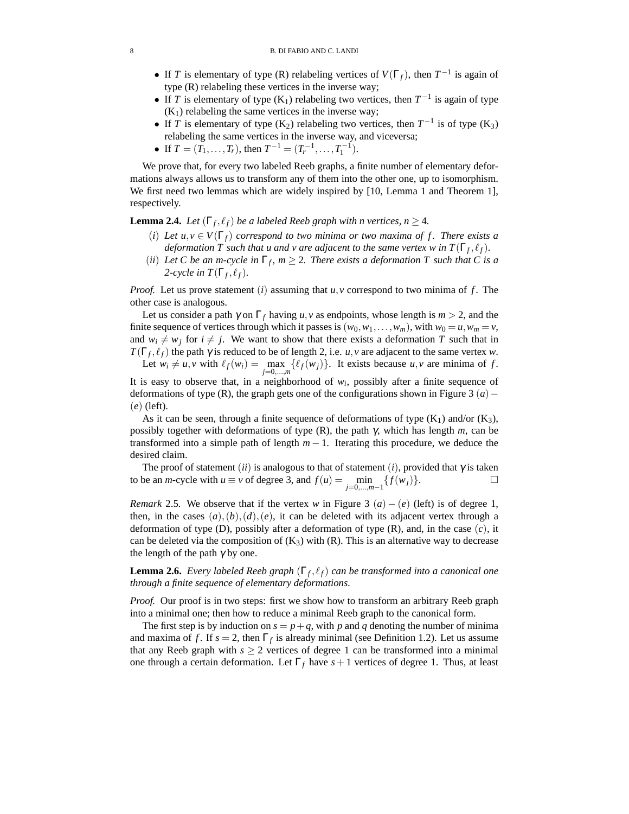- If *T* is elementary of type (R) relabeling vertices of  $V(\Gamma_f)$ , then  $T^{-1}$  is again of type (R) relabeling these vertices in the inverse way;
- If *T* is elementary of type  $(K_1)$  relabeling two vertices, then  $T^{-1}$  is again of type  $(K<sub>1</sub>)$  relabeling the same vertices in the inverse way;
- If *T* is elementary of type (K<sub>2</sub>) relabeling two vertices, then  $T^{-1}$  is of type (K<sub>3</sub>) relabeling the same vertices in the inverse way, and viceversa;
- If  $T = (T_1, ..., T_r)$ , then  $T^{-1} = (T_r^{-1}, ..., T_1^{-1})$ .

We prove that, for every two labeled Reeb graphs, a finite number of elementary deformations always allows us to transform any of them into the other one, up to isomorphism. We first need two lemmas which are widely inspired by [10, Lemma 1 and Theorem 1], respectively.

**Lemma 2.4.** *Let*  $(\Gamma_f, \ell_f)$  *be a labeled Reeb graph with n vertices, n*  $\geq$  4*.* 

- (*i*) Let  $u, v \in V(\Gamma_f)$  correspond to two minima or two maxima of f. There exists a *deformation T such that u and v are adjacent to the same vertex w in*  $T(\Gamma_f, \ell_f)$ *.*
- (*ii*) Let C be an m-cycle in  $\Gamma_f$ ,  $m \geq 2$ . There exists a deformation T such that C is a 2-cycle in  $T(\Gamma_f, \ell_f)$ .

*Proof.* Let us prove statement (*i*) assuming that *u*, *v* correspond to two minima of *f* . The other case is analogous.

Let us consider a path  $\gamma$  on  $\Gamma_f$  having *u*, *v* as endpoints, whose length is  $m > 2$ , and the finite sequence of vertices through which it passes is  $(w_0, w_1, \ldots, w_m)$ , with  $w_0 = u, w_m = v$ , and  $w_i \neq w_j$  for  $i \neq j$ . We want to show that there exists a deformation *T* such that in *T*( $\Gamma_f$ ,  $\ell_f$ ) the path  $\gamma$  is reduced to be of length 2, i.e. *u*, *v* are adjacent to the same vertex *w*. Let  $w_i \neq u, v$  with  $\ell_f(w_i) = \max_{j=0,\dots,m} \{\ell_f(w_j)\}\$ . It exists because  $u, v$  are minima of *f*.

It is easy to observe that, in a neighborhood of  $w_i$ , possibly after a finite sequence of deformations of type (R), the graph gets one of the configurations shown in Figure 3 (*a*)− (*e*) (left).

As it can be seen, through a finite sequence of deformations of type  $(K_1)$  and/or  $(K_3)$ , possibly together with deformations of type (R), the path γ, which has length *m*, can be transformed into a simple path of length *m* − 1. Iterating this procedure, we deduce the desired claim.

The proof of statement (*ii*) is analogous to that of statement (*i*), provided that  $\gamma$  is taken to be an *m*-cycle with  $u \equiv v$  of degree 3, and  $f(u) = \min_{j=0,\dots,m-1} \{ f(w_j) \}.$ 

*Remark* 2.5. We observe that if the vertex *w* in Figure 3 (*a*) – (*e*) (left) is of degree 1, then, in the cases  $(a)$ , $(b)$ , $(d)$ , $(e)$ , it can be deleted with its adjacent vertex through a deformation of type (D), possibly after a deformation of type (R), and, in the case (*c*), it can be deleted via the composition of  $(K_3)$  with  $(R)$ . This is an alternative way to decrease the length of the path  $\gamma$  by one.

**Lemma 2.6.** *Every labeled Reeb graph* ( $\Gamma_f$ ,  $\ell_f$ ) *can be transformed into a canonical one through a finite sequence of elementary deformations.*

*Proof.* Our proof is in two steps: first we show how to transform an arbitrary Reeb graph into a minimal one; then how to reduce a minimal Reeb graph to the canonical form.

The first step is by induction on  $s = p + q$ , with p and q denoting the number of minima and maxima of *f*. If  $s = 2$ , then  $\Gamma_f$  is already minimal (see Definition 1.2). Let us assume that any Reeb graph with  $s \geq 2$  vertices of degree 1 can be transformed into a minimal one through a certain deformation. Let  $\Gamma_f$  have  $s+1$  vertices of degree 1. Thus, at least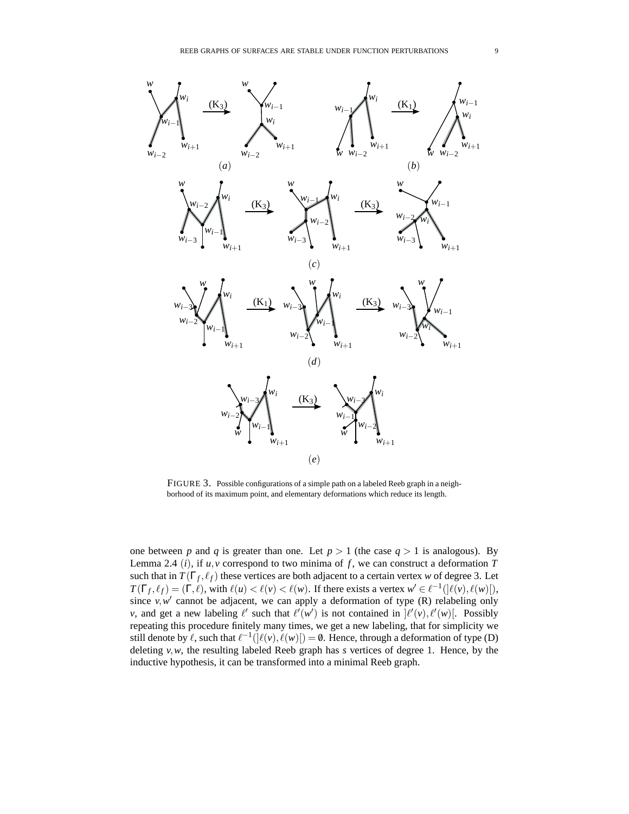

FIGURE 3. Possible configurations of a simple path on a labeled Reeb graph in a neighborhood of its maximum point, and elementary deformations which reduce its length.

one between *p* and *q* is greater than one. Let  $p > 1$  (the case  $q > 1$  is analogous). By Lemma 2.4 (*i*), if  $u, v$  correspond to two minima of  $f$ , we can construct a deformation  $T$ such that in  $T(\Gamma_f, \ell_f)$  these vertices are both adjacent to a certain vertex *w* of degree 3. Let  $T(\Gamma_f, \ell_f) = (\Gamma, \ell)$ , with  $\ell(u) < \ell(v) < \ell(w)$ . If there exists a vertex  $w' \in \ell^{-1}(\ell(v), \ell(w))$ , since  $v, w'$  cannot be adjacent, we can apply a deformation of type  $(R)$  relabeling only *v*, and get a new labeling  $\ell'$  such that  $\ell'(w')$  is not contained in  $\ell'(v), \ell'(w)$ . Possibly repeating this procedure finitely many times, we get a new labeling, that for simplicity we still denote by  $\ell$ , such that  $\ell^{-1}([\ell(v), \ell(w)]) = \emptyset$ . Hence, through a deformation of type (D) deleting  $v, w$ , the resulting labeled Reeb graph has *s* vertices of degree 1. Hence, by the inductive hypothesis, it can be transformed into a minimal Reeb graph.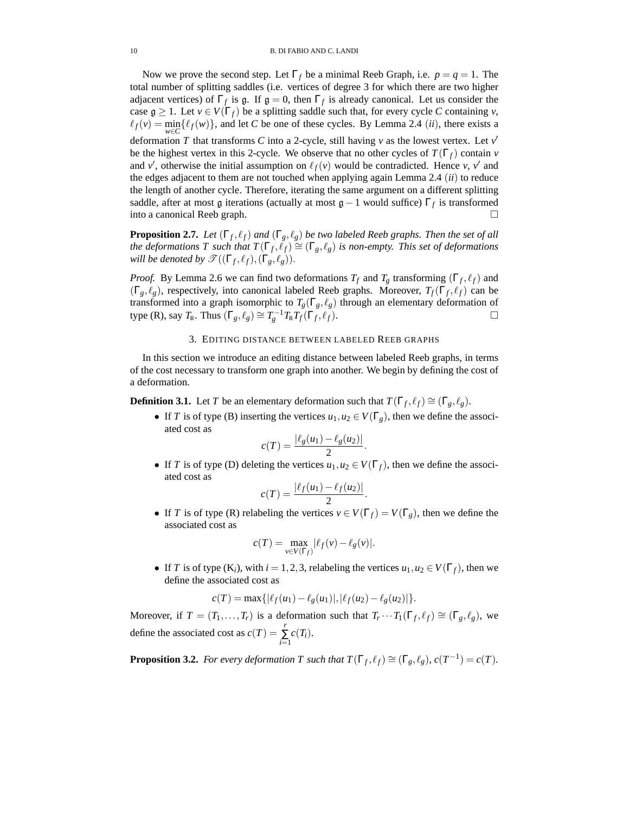Now we prove the second step. Let  $\Gamma_f$  be a minimal Reeb Graph, i.e.  $p = q = 1$ . The total number of splitting saddles (i.e. vertices of degree 3 for which there are two higher adjacent vertices) of  $\Gamma_f$  is g. If  $\mathfrak{g} = 0$ , then  $\Gamma_f$  is already canonical. Let us consider the case  $g \ge 1$ . Let  $v \in V(\Gamma_f)$  be a splitting saddle such that, for every cycle *C* containing *v*,  $\ell_f(v) = \min_{w \in C} {\ell_f(w)}$ , and let *C* be one of these cycles. By Lemma 2.4 (*ii*), there exists a deformation *T* that transforms *C* into a 2-cycle, still having *v* as the lowest vertex. Let *v* ′ be the highest vertex in this 2-cycle. We observe that no other cycles of  $T(\Gamma_f)$  contain *v* and *v'*, otherwise the initial assumption on  $\ell_f(v)$  would be contradicted. Hence *v*, *v'* and the edges adjacent to them are not touched when applying again Lemma 2.4 (*ii*) to reduce the length of another cycle. Therefore, iterating the same argument on a different splitting saddle, after at most  $\mathfrak g$  iterations (actually at most  $\mathfrak g - 1$  would suffice)  $\Gamma_f$  is transformed into a canonical Reeb graph.

**Proposition 2.7.** *Let*  $(\Gamma_f, \ell_f)$  *and*  $(\Gamma_g, \ell_g)$  *be two labeled Reeb graphs. Then the set of all the deformations T such that*  $T(\Gamma_f, \ell_f) \cong (\Gamma_g, \ell_g)$  *is non-empty. This set of deformations will be denoted by*  $\mathscr{T}((\Gamma_f, \ell_f), (\Gamma_g, \ell_g)).$ 

*Proof.* By Lemma 2.6 we can find two deformations  $T_f$  and  $T_g$  transforming  $(\Gamma_f, \ell_f)$  and  $(\Gamma_g, \ell_g)$ , respectively, into canonical labeled Reeb graphs. Moreover,  $T_f(\Gamma_f, \ell_f)$  can be transformed into a graph isomorphic to  $T_g(\Gamma_g, \ell_g)$  through an elementary deformation of  $\textrm{type (R)}, \textrm{say } T_{\textrm{R}}. \textrm{ Thus } (\Gamma_g, \ell_g) \cong T_g^{-1} T_{\textrm{R}} T_f(\Gamma_f)$  $, \ell_f$ ).

### 3. EDITING DISTANCE BETWEEN LABELED REEB GRAPHS

In this section we introduce an editing distance between labeled Reeb graphs, in terms of the cost necessary to transform one graph into another. We begin by defining the cost of a deformation.

**Definition 3.1.** Let *T* be an elementary deformation such that  $T(\Gamma_f, \ell_f) \cong (\Gamma_g, \ell_g)$ .

• If *T* is of type (B) inserting the vertices  $u_1, u_2 \in V(\Gamma_g)$ , then we define the associated cost as

.

.

$$
c(T) = \frac{|\ell_g(u_1) - \ell_g(u_2)|}{2}
$$

• If *T* is of type (D) deleting the vertices  $u_1, u_2 \in V(\Gamma_f)$ , then we define the associated cost as

$$
c(T) = \frac{|\ell_f(u_1) - \ell_f(u_2)|}{2}
$$

• If *T* is of type (R) relabeling the vertices  $v \in V(\Gamma_f) = V(\Gamma_g)$ , then we define the associated cost as

$$
c(T) = \max_{v \in V(\Gamma_f)} |\ell_f(v) - \ell_g(v)|.
$$

• If *T* is of type  $(K_i)$ , with  $i = 1, 2, 3$ , relabeling the vertices  $u_1, u_2 \in V(\Gamma_f)$ , then we define the associated cost as

$$
c(T) = \max\{|\ell_f(u_1) - \ell_g(u_1)|, |\ell_f(u_2) - \ell_g(u_2)|\}.
$$

Moreover, if  $T = (T_1, \ldots, T_r)$  is a deformation such that  $T_r \cdots T_1(\Gamma_f, \ell_f) \cong (\Gamma_g, \ell_g)$ , we define the associated cost as  $c(T) = \sum_{i=1}^{r} c(T_i)$ .

**Proposition 3.2.** *For every deformation T such that*  $T(\Gamma_f, \ell_f) \cong (\Gamma_g, \ell_g)$ ,  $c(T^{-1}) = c(T)$ *.*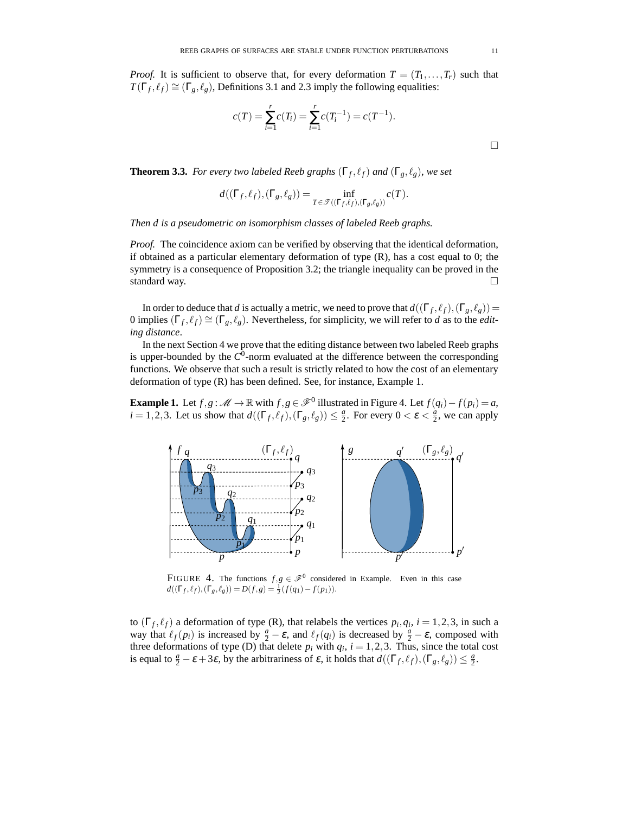*Proof.* It is sufficient to observe that, for every deformation  $T = (T_1, \ldots, T_r)$  such that  $T(\Gamma_f, \ell_f) \cong (\Gamma_g, \ell_g)$ , Definitions 3.1 and 2.3 imply the following equalities:

$$
c(T) = \sum_{i=1}^{r} c(T_i) = \sum_{i=1}^{r} c(T_i^{-1}) = c(T^{-1}).
$$

**Theorem 3.3.** *For every two labeled Reeb graphs*  $(\Gamma_f, \ell_f)$  *and*  $(\Gamma_g, \ell_g)$ *, we set* 

$$
d((\Gamma_f, \ell_f), (\Gamma_g, \ell_g)) = \inf_{T \in \mathcal{F}((\Gamma_f, \ell_f), (\Gamma_g, \ell_g))} c(T).
$$

*Then d is a pseudometric on isomorphism classes of labeled Reeb graphs.*

*Proof.* The coincidence axiom can be verified by observing that the identical deformation, if obtained as a particular elementary deformation of type  $(R)$ , has a cost equal to 0; the symmetry is a consequence of Proposition 3.2; the triangle inequality can be proved in the standard way.

In order to deduce that *d* is actually a metric, we need to prove that  $d((\Gamma_f, \ell_f), (\Gamma_g, \ell_g)) =$ 0 implies  $(\Gamma_f, \ell_f) \cong (\Gamma_g, \ell_g)$ . Nevertheless, for simplicity, we will refer to *d* as to the *editing distance*.

In the next Section 4 we prove that the editing distance between two labeled Reeb graphs is upper-bounded by the *C* 0 -norm evaluated at the difference between the corresponding functions. We observe that such a result is strictly related to how the cost of an elementary deformation of type (R) has been defined. See, for instance, Example 1.

**Example 1.** Let  $f, g : \mathcal{M} \to \mathbb{R}$  with  $f, g \in \mathcal{F}^0$  illustrated in Figure 4. Let  $f(q_i) - f(p_i) = a$ ,  $i = 1, 2, 3$ . Let us show that  $d((\Gamma_f, \ell_f), (\Gamma_g, \ell_g)) \leq \frac{a}{2}$ . For every  $0 < \varepsilon < \frac{a}{2}$ , we can apply



FIGURE 4. The functions  $f, g \in \mathcal{F}^0$  considered in Example. Even in this case  $d((\Gamma_f, \ell_f), (\Gamma_g, \ell_g)) = D(f, g) = \frac{1}{2}(f(q_1) - f(p_1)).$ 

to  $(\Gamma_f, \ell_f)$  a deformation of type (R), that relabels the vertices  $p_i, q_i, i = 1, 2, 3$ , in such a way that  $\ell_f(p_i)$  is increased by  $\frac{a}{2} - \varepsilon$ , and  $\ell_f(q_i)$  is decreased by  $\frac{a}{2} - \varepsilon$ , composed with three deformations of type (D) that delete  $p_i$  with  $q_i$ ,  $i = 1, 2, 3$ . Thus, since the total cost is equal to  $\frac{a}{2} - \varepsilon + 3\varepsilon$ , by the arbitrariness of  $\varepsilon$ , it holds that  $d((\Gamma_f, \ell_f), (\Gamma_g, \ell_g)) \leq \frac{a}{2}$ .

 $\Box$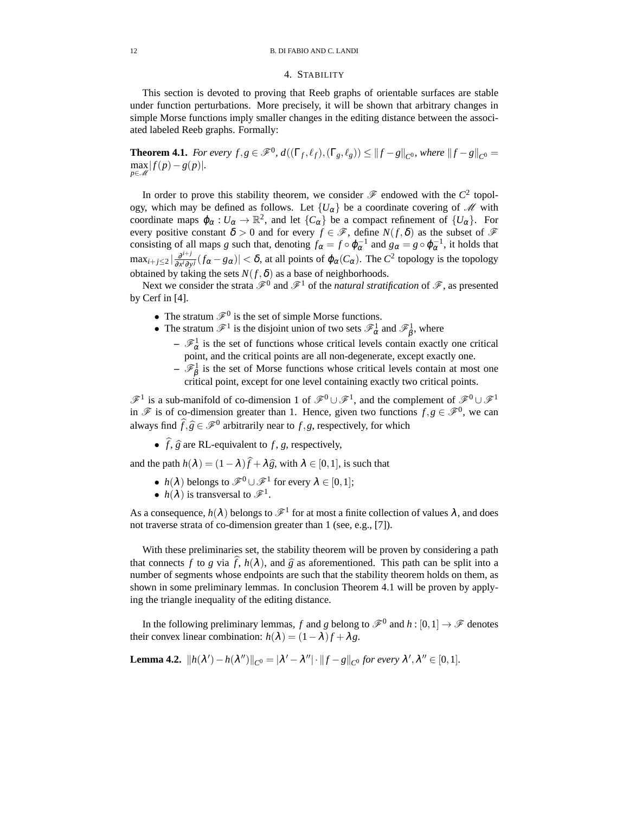## 4. STABILITY

This section is devoted to proving that Reeb graphs of orientable surfaces are stable under function perturbations. More precisely, it will be shown that arbitrary changes in simple Morse functions imply smaller changes in the editing distance between the associated labeled Reeb graphs. Formally:

**Theorem 4.1.** *For every f*, $g \in \mathscr{F}^0$ ,  $d((\Gamma_f, \ell_f), (\Gamma_g, \ell_g)) \leq ||f - g||_{C^0}$ , where  $||f - g||_{C^0} =$  $\max_{p \in \mathcal{M}} |f(p)-g(p)|$ .

In order to prove this stability theorem, we consider  $\mathscr F$  endowed with the  $C^2$  topology, which may be defined as follows. Let  ${U_\alpha}$  be a coordinate covering of M with coordinate maps  $\varphi_{\alpha}: U_{\alpha} \to \mathbb{R}^2$ , and let  $\{C_{\alpha}\}\$  be a compact refinement of  $\{U_{\alpha}\}\$ . For every positive constant  $\delta > 0$  and for every  $f \in \mathscr{F}$ , define  $N(f, \delta)$  as the subset of  $\mathscr{F}$ consisting of all maps *g* such that, denoting  $f_{\alpha} = f \circ \varphi_{\alpha}^{-1}$  and  $g_{\alpha} = g \circ \varphi_{\alpha}^{-1}$ , it holds that  $\max_{i+j\leq 2} |\frac{\partial^{i+j}}{\partial x^i \partial y}|$  $\frac{\partial^{i+j}}{\partial x^i \partial y^j}(f_\alpha - g_\alpha)| < \delta$ , at all points of  $\varphi_\alpha(C_\alpha)$ . The  $C^2$  topology is the topology obtained by taking the sets  $N(f, \delta)$  as a base of neighborhoods.

Next we consider the strata  $\mathscr{F}^0$  and  $\mathscr{F}^1$  of the *natural stratification* of  $\mathscr{F}$ , as presented by Cerf in [4].

- The stratum  $\mathcal{F}^0$  is the set of simple Morse functions.
- The stratum  $\mathscr{F}^1$  is the disjoint union of two sets  $\mathscr{F}^1_\alpha$  and  $\mathscr{F}^1_\beta$ , where
	- $-\mathcal{F}_{\alpha}^1$  is the set of functions whose critical levels contain exactly one critical point, and the critical points are all non-degenerate, except exactly one.
	- $-\mathcal{F}_{\beta}^1$  is the set of Morse functions whose critical levels contain at most one critical point, except for one level containing exactly two critical points.

 $\mathscr{F}^1$  is a sub-manifold of co-dimension 1 of  $\mathscr{F}^0 \cup \mathscr{F}^1$ , and the complement of  $\mathscr{F}^0 \cup \mathscr{F}^1$ in  $\mathscr F$  is of co-dimension greater than 1. Hence, given two functions  $f, g \in \mathscr F^0$ , we can always find  $\widehat{f}, \widehat{g} \in \mathcal{F}^0$  arbitrarily near to *f*,*g*, respectively, for which

•  $\hat{f}, \hat{g}$  are RL-equivalent to  $f, g$ , respectively,

and the path  $h(\lambda) = (1 - \lambda)\hat{f} + \lambda\hat{g}$ , with  $\lambda \in [0, 1]$ , is such that

- $h(\lambda)$  belongs to  $\mathscr{F}^0 \cup \mathscr{F}^1$  for every  $\lambda \in [0,1]$ ;
- $h(\lambda)$  is transversal to  $\mathscr{F}^1$ .

As a consequence,  $h(\lambda)$  belongs to  $\mathscr{F}^1$  for at most a finite collection of values  $\lambda$ , and does not traverse strata of co-dimension greater than 1 (see, e.g., [7]).

With these preliminaries set, the stability theorem will be proven by considering a path that connects *f* to *g* via  $\hat{f}$ ,  $h(\lambda)$ , and  $\hat{g}$  as aforementioned. This path can be split into a number of segments whose endpoints are such that the stability theorem holds on them, as shown in some preliminary lemmas. In conclusion Theorem 4.1 will be proven by applying the triangle inequality of the editing distance.

In the following preliminary lemmas, *f* and *g* belong to  $\mathscr{F}^0$  and  $h : [0,1] \to \mathscr{F}$  denotes their convex linear combination:  $h(\lambda) = (1 - \lambda)f + \lambda g$ .

**Lemma 4.2.** 
$$
||h(\lambda') - h(\lambda'')||_{C^0} = |\lambda' - \lambda''| \cdot ||f - g||_{C^0}
$$
 for every  $\lambda', \lambda'' \in [0, 1]$ .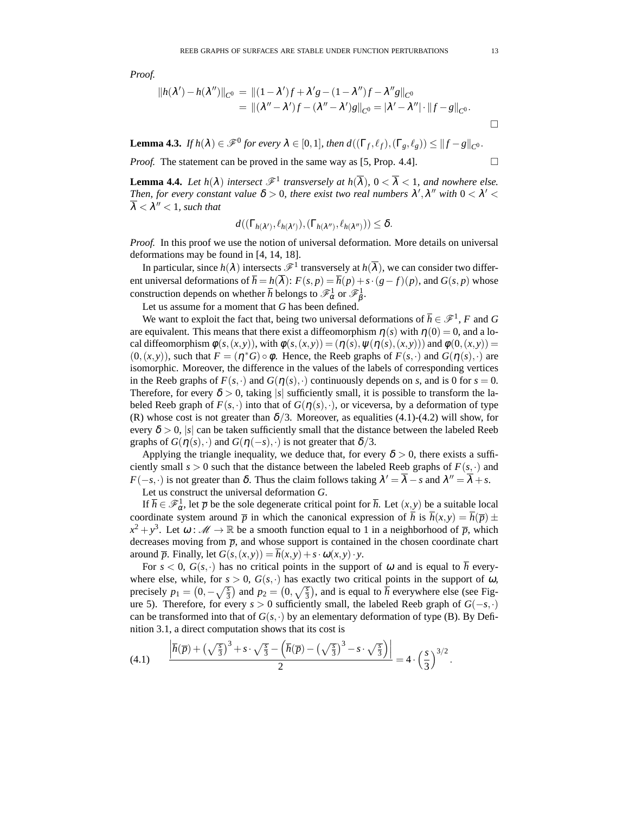*Proof.*

$$
||h(\lambda') - h(\lambda'')||_{C^0} = ||(1 - \lambda')f + \lambda'g - (1 - \lambda'')f - \lambda''g||_{C^0}
$$
  
= 
$$
||(\lambda'' - \lambda')f - (\lambda'' - \lambda')g||_{C^0} = |\lambda' - \lambda''| \cdot ||f - g||_{C^0}.
$$

**Lemma 4.3.** *If*  $h(\lambda) \in \mathscr{F}^0$  for every  $\lambda \in [0,1]$ , then  $d((\Gamma_f, \ell_f), (\Gamma_g, \ell_g)) \leq ||f - g||_{C^0}$ .

*Proof.* The statement can be proved in the same way as [5, Prop. 4.4].

**Lemma 4.4.** Let  $h(\lambda)$  intersect  $\mathscr{F}^1$  transversely at  $h(\overline{\lambda})$ ,  $0 < \overline{\lambda} < 1$ , and nowhere else. Then, for every constant value  $\delta > 0$ , there exist two real numbers  $\lambda', \lambda''$  with  $0 < \lambda' <$  $\overline{\lambda} < \lambda'' < 1$ , such that

$$
d((\Gamma_{h(\lambda')}, \ell_{h(\lambda')}), (\Gamma_{h(\lambda'')}, \ell_{h(\lambda'')})) \leq \delta.
$$

*Proof.* In this proof we use the notion of universal deformation. More details on universal deformations may be found in [4, 14, 18].

In particular, since  $h(\lambda)$  intersects  $\mathscr{F}^1$  transversely at  $h(\overline{\lambda})$ , we can consider two different universal deformations of  $\overline{h} = h(\overline{\lambda})$ :  $F(s, p) = \overline{h}(p) + s \cdot (g - f)(p)$ , and  $G(s, p)$  whose construction depends on whether  $\bar{h}$  belongs to  $\mathscr{F}_{\alpha}^1$  or  $\mathscr{F}_{\beta}^1$ .

Let us assume for a moment that *G* has been defined.

We want to exploit the fact that, being two universal deformations of  $\overline{h} \in \mathcal{F}^1$ , *F* and *G* are equivalent. This means that there exist a diffeomorphism  $\eta(s)$  with  $\eta(0) = 0$ , and a local diffeomorphism  $\phi(s,(x,y))$ , with  $\phi(s,(x,y)) = (\eta(s), \psi(\eta(s),(x,y)))$  and  $\phi(0,(x,y)) =$  $(0, (x, y))$ , such that  $F = (\eta^* G) \circ \phi$ . Hence, the Reeb graphs of  $F(s, \cdot)$  and  $G(\eta(s), \cdot)$  are isomorphic. Moreover, the difference in the values of the labels of corresponding vertices in the Reeb graphs of  $F(s, \cdot)$  and  $G(\eta(s), \cdot)$  continuously depends on *s*, and is 0 for  $s = 0$ . Therefore, for every  $\delta > 0$ , taking |s| sufficiently small, it is possible to transform the labeled Reeb graph of  $F(s, \cdot)$  into that of  $G(\eta(s), \cdot)$ , or viceversa, by a deformation of type (R) whose cost is not greater than  $\delta/3$ . Moreover, as equalities (4.1)-(4.2) will show, for every  $\delta > 0$ , |s| can be taken sufficiently small that the distance between the labeled Reeb graphs of  $G(\eta(s),\cdot)$  and  $G(\eta(-s),\cdot)$  is not greater that  $\delta/3$ .

Applying the triangle inequality, we deduce that, for every  $\delta > 0$ , there exists a sufficiently small  $s > 0$  such that the distance between the labeled Reeb graphs of  $F(s, \cdot)$  and *F*( $-s$ , $\cdot$ ) is not greater than  $\delta$ . Thus the claim follows taking  $\lambda' = \overline{\lambda} - s$  and  $\lambda'' = \overline{\lambda} + s$ .

Let us construct the universal deformation *G*.

If  $\overline{h} \in \mathscr{F}_{\alpha}^1$ , let  $\overline{p}$  be the sole degenerate critical point for  $\overline{h}$ . Let  $(x, y)$  be a suitable local coordinate system around  $\bar{p}$  in which the canonical expression of  $\bar{h}$  is  $\bar{h}(x, y) = \bar{h}(\bar{p}) \pm \bar{h}(\bar{p})$  $x^2 + y^3$ . Let  $\omega : \mathcal{M} \to \mathbb{R}$  be a smooth function equal to 1 in a neighborhood of  $\overline{p}$ , which decreases moving from  $\bar{p}$ , and whose support is contained in the chosen coordinate chart around  $\overline{p}$ . Finally, let  $G(s,(x,y)) = \overline{h}(x,y) + s \cdot \omega(x,y) \cdot y$ .

For  $s < 0$ ,  $G(s, \cdot)$  has no critical points in the support of  $\omega$  and is equal to h everywhere else, while, for  $s > 0$ ,  $G(s, \cdot)$  has exactly two critical points in the support of  $\omega$ , precisely  $p_1 = (0, -\sqrt{\frac{s}{3}})$  and  $p_2 = (0, \sqrt{\frac{s}{3}})$ , and is equal to  $\overline{h}$  everywhere else (see Figure 5). Therefore, for every  $s > 0$  sufficiently small, the labeled Reeb graph of  $G(-s, \cdot)$ can be transformed into that of  $G(s, \cdot)$  by an elementary deformation of type (B). By Definition 3.1, a direct computation shows that its cost is

$$
(4.1) \qquad \frac{\left|\overline{h}(\overline{p}) + \left(\sqrt{\frac{s}{3}}\right)^3 + s \cdot \sqrt{\frac{s}{3}} - \left(\overline{h}(\overline{p}) - \left(\sqrt{\frac{s}{3}}\right)^3 - s \cdot \sqrt{\frac{s}{3}}\right)\right|}{2} = 4 \cdot \left(\frac{s}{3}\right)^{3/2}.
$$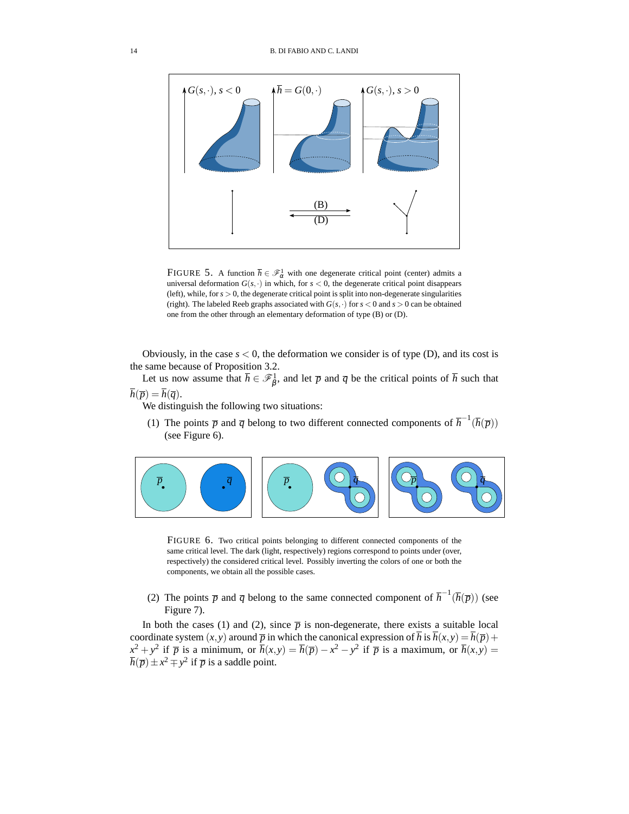

FIGURE 5. A function  $\bar{h} \in \mathcal{F}^1_\alpha$  with one degenerate critical point (center) admits a universal deformation  $G(s, \cdot)$  in which, for  $s < 0$ , the degenerate critical point disappears (left), while, for  $s > 0$ , the degenerate critical point is split into non-degenerate singularities (right). The labeled Reeb graphs associated with  $G(s, \cdot)$  for  $s < 0$  and  $s > 0$  can be obtained one from the other through an elementary deformation of type (B) or (D).

Obviously, in the case  $s < 0$ , the deformation we consider is of type (D), and its cost is the same because of Proposition 3.2.

Let us now assume that  $\bar{h} \in \mathcal{F}_{\beta}^1$ , and let  $\bar{p}$  and  $\bar{q}$  be the critical points of  $\bar{h}$  such that  $\overline{h}(\overline{p}) = \overline{h}(\overline{q}).$ 

We distinguish the following two situations:

(1) The points  $\bar{p}$  and  $\bar{q}$  belong to two different connected components of  $\bar{h}^{-1}(\bar{h}(\bar{p}))$ (see Figure 6).



FIGURE 6. Two critical points belonging to different connected components of the same critical level. The dark (light, respectively) regions correspond to points under (over, respectively) the considered critical level. Possibly inverting the colors of one or both the components, we obtain all the possible cases.

(2) The points  $\bar{p}$  and  $\bar{q}$  belong to the same connected component of  $\bar{h}^{-1}(\bar{h}(\bar{p}))$  (see Figure 7).

In both the cases (1) and (2), since  $\bar{p}$  is non-degenerate, there exists a suitable local coordinate system  $(x, y)$  around  $\overline{p}$  in which the canonical expression of *h* is  $h(x, y) = h(\overline{p}) +$  $x^2 + y^2$  if  $\overline{p}$  is a minimum, or  $\overline{h}(x, y) = \overline{h}(\overline{p}) - x^2 - y^2$  if  $\overline{p}$  is a maximum, or  $\overline{h}(x, y) =$  $\overline{h}(\overline{p}) \pm x^2 \mp y^2$  if  $\overline{p}$  is a saddle point.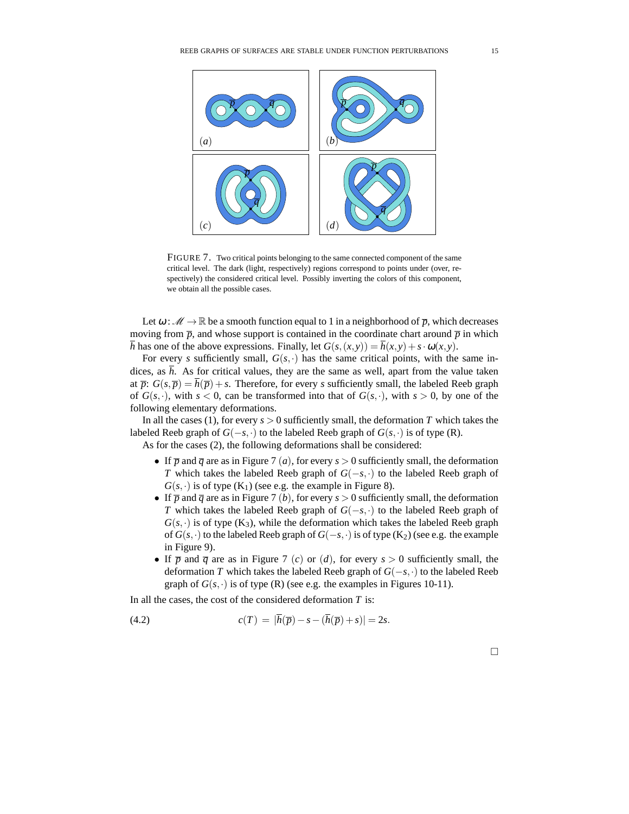

FIGURE 7. Two critical points belonging to the same connected component of the same critical level. The dark (light, respectively) regions correspond to points under (over, respectively) the considered critical level. Possibly inverting the colors of this component, we obtain all the possible cases.

Let  $\omega : \mathcal{M} \to \mathbb{R}$  be a smooth function equal to 1 in a neighborhood of  $\overline{p}$ , which decreases moving from  $\bar{p}$ , and whose support is contained in the coordinate chart around  $\bar{p}$  in which *h* has one of the above expressions. Finally, let  $G(s,(x, y)) = h(x, y) + s \cdot \omega(x, y)$ .

For every *s* sufficiently small,  $G(s, \cdot)$  has the same critical points, with the same indices, as  $\bar{h}$ . As for critical values, they are the same as well, apart from the value taken at  $\overline{p}$ :  $G(s, \overline{p}) = \overline{h}(\overline{p}) + s$ . Therefore, for every *s* sufficiently small, the labeled Reeb graph of  $G(s, \cdot)$ , with  $s < 0$ , can be transformed into that of  $G(s, \cdot)$ , with  $s > 0$ , by one of the following elementary deformations.

In all the cases (1), for every  $s > 0$  sufficiently small, the deformation *T* which takes the labeled Reeb graph of *G*(−*s*, ·) to the labeled Reeb graph of *G*(*s*, ·) is of type (R).

As for the cases (2), the following deformations shall be considered:

- If  $\bar{p}$  and  $\bar{q}$  are as in Figure 7 (*a*), for every  $s > 0$  sufficiently small, the deformation *T* which takes the labeled Reeb graph of *G*(−*s*,⋅) to the labeled Reeb graph of  $G(s, \cdot)$  is of type  $(K_1)$  (see e.g. the example in Figure 8).
- If  $\overline{p}$  and  $\overline{q}$  are as in Figure 7 (*b*), for every *s* > 0 sufficiently small, the deformation *T* which takes the labeled Reeb graph of *G*(−*s*,⋅) to the labeled Reeb graph of  $G(s, \cdot)$  is of type (K<sub>3</sub>), while the deformation which takes the labeled Reeb graph of  $G(s, \cdot)$  to the labeled Reeb graph of  $G(-s, \cdot)$  is of type  $(K_2)$  (see e.g. the example in Figure 9).
- If  $\overline{p}$  and  $\overline{q}$  are as in Figure 7 (*c*) or (*d*), for every  $s > 0$  sufficiently small, the deformation *T* which takes the labeled Reeb graph of *G*(−*s*,·) to the labeled Reeb graph of  $G(s, \cdot)$  is of type (R) (see e.g. the examples in Figures 10-11).

In all the cases, the cost of the considered deformation *T* is:

(4.2) 
$$
c(T) = |\overline{h}(\overline{p}) - s - (\overline{h}(\overline{p}) + s)| = 2s.
$$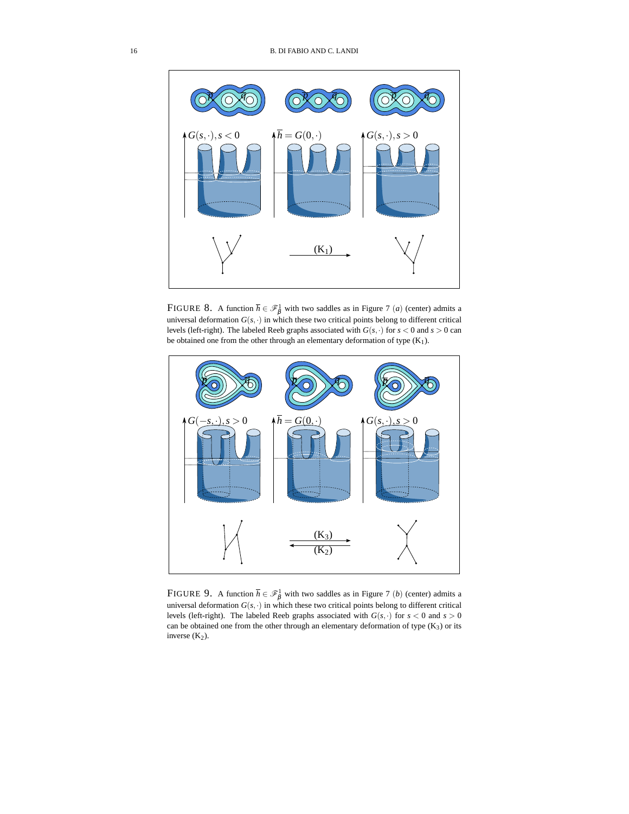

FIGURE 8. A function  $\bar{h} \in \mathcal{F}_{\beta}^1$  with two saddles as in Figure 7 (*a*) (center) admits a universal deformation  $G(s, \cdot)$  in which these two critical points belong to different critical levels (left-right). The labeled Reeb graphs associated with  $G(s, \cdot)$  for  $s < 0$  and  $s > 0$  can be obtained one from the other through an elementary deformation of type  $(K_1)$ .



FIGURE 9. A function  $\bar{h} \in \mathcal{F}^1_\beta$  with two saddles as in Figure 7 (*b*) (center) admits a universal deformation  $G(s, \cdot)$  in which these two critical points belong to different critical levels (left-right). The labeled Reeb graphs associated with  $G(s, \cdot)$  for  $s < 0$  and  $s > 0$ can be obtained one from the other through an elementary deformation of type  $(K_3)$  or its inverse  $(K_2)$ .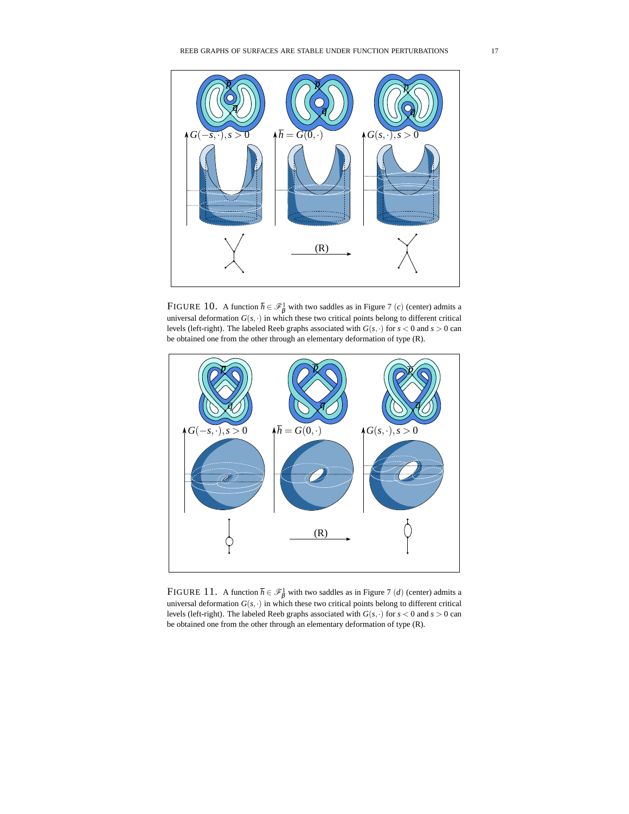

FIGURE 10. A function  $\bar{h} \in \mathcal{F}_{\beta}^1$  with two saddles as in Figure 7 (*c*) (center) admits a universal deformation  $G(s, \cdot)$  in which these two critical points belong to different critical levels (left-right). The labeled Reeb graphs associated with  $G(s, \cdot)$  for  $s < 0$  and  $s > 0$  can be obtained one from the other through an elementary deformation of type (R).



FIGURE 11. A function  $\bar{h} \in \mathcal{F}_{\beta}^1$  with two saddles as in Figure 7 (*d*) (center) admits a universal deformation  $G(s, \cdot)$  in which these two critical points belong to different critical levels (left-right). The labeled Reeb graphs associated with  $G(s, \cdot)$  for  $s < 0$  and  $s > 0$  can be obtained one from the other through an elementary deformation of type (R).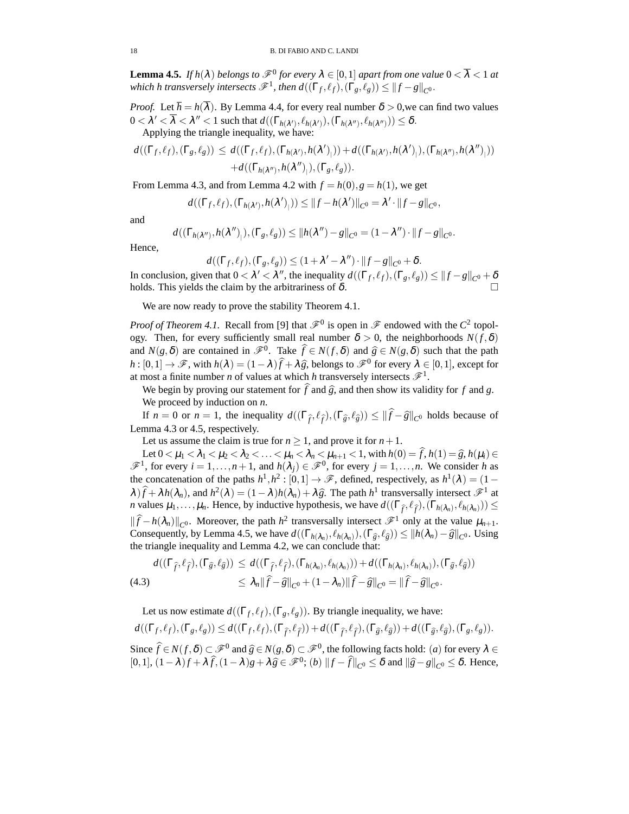**Lemma 4.5.** *If*  $h(\lambda)$  *belongs to*  $\mathscr{F}^0$  *for every*  $\lambda \in [0,1]$  *apart from one value*  $0 < \overline{\lambda} < 1$  *at which h transversely intersects*  $\mathscr{F}^1$ , then  $d((\Gamma_f, \ell_f), (\Gamma_g, \ell_g)) \leq ||f - g||_{C^0}$ .

*Proof.* Let  $\overline{h} = h(\overline{\lambda})$ . By Lemma 4.4, for every real number  $\delta > 0$ , we can find two values  $0 < \lambda' < \overline{\lambda} < \lambda'' < 1$  such that  $d((\Gamma_{h(\lambda')}, \ell_{h(\lambda')}), (\Gamma_{h(\lambda'')}, \ell_{h(\lambda'')})) \leq \delta$ . Applying the triangle inequality, we have:

$$
d((\Gamma_f, \ell_f), (\Gamma_g, \ell_g)) \leq d((\Gamma_f, \ell_f), (\Gamma_{h(\lambda')}, h(\lambda')_+) ) + d((\Gamma_{h(\lambda')}, h(\lambda')_+, (\Gamma_{h(\lambda'')}, h(\lambda'')_+))
$$
  
+  $d((\Gamma_{h(\lambda'')}, h(\lambda'')_+), (\Gamma_g, \ell_g)).$ 

From Lemma 4.3, and from Lemma 4.2 with  $f = h(0), g = h(1)$ , we get

$$
d((\Gamma_f,\ell_f),(\Gamma_{h(\lambda')},h(\lambda')_{\vert}))\leq ||f-h(\lambda')||_{C^0}=\lambda'\cdot||f-g||_{C^0},
$$

and

$$
d((\Gamma_{h(\lambda'')}, h(\lambda'')_{\vert}), (\Gamma_g, \ell_g)) \leq ||h(\lambda'') - g||_{C^0} = (1 - \lambda'') \cdot ||f - g||_{C^0}.
$$

Hence,

$$
d((\Gamma_f, \ell_f), (\Gamma_g, \ell_g)) \leq (1 + \lambda' - \lambda'') \cdot ||f - g||_{C^0} + \delta.
$$

In conclusion, given that  $0 < \lambda' < \lambda''$ , the inequality  $d((\Gamma_f, \ell_f), (\Gamma_g, \ell_g)) \leq ||f - g||_{C^0} + \delta$ holds. This yields the claim by the arbitrariness of  $\delta$ .

We are now ready to prove the stability Theorem 4.1.

*Proof of Theorem 4.1.* Recall from [9] that  $\mathscr{F}^0$  is open in  $\mathscr{F}$  endowed with the  $C^2$  topology. Then, for every sufficiently small real number  $\delta > 0$ , the neighborhoods  $N(f, \delta)$ and  $N(g, \delta)$  are contained in  $\mathcal{F}^0$ . Take  $\widehat{f} \in N(f, \delta)$  and  $\widehat{g} \in N(g, \delta)$  such that the path  $h : [0,1] \to \mathscr{F}$ , with  $h(\lambda) = (1-\lambda)\widehat{f} + \lambda \widehat{g}$ , belongs to  $\mathscr{F}^0$  for every  $\lambda \in [0,1]$ , except for at most a finite number *n* of values at which *h* transversely intersects  $\mathscr{F}^1$ .

We begin by proving our statement for  $\hat{f}$  and  $\hat{g}$ , and then show its validity for *f* and *g*. We proceed by induction on *n*.

If  $n = 0$  or  $n = 1$ , the inequality  $d((\Gamma_{\hat{f}}, \ell_{\hat{f}}), (\Gamma_{\hat{g}}, \ell_{\hat{g}})) \leq ||\hat{f} - \hat{g}||_{C^0}$  holds because of Lemma 4.3 or 4.5, respectively.

Let us assume the claim is true for  $n \ge 1$ , and prove it for  $n + 1$ .

Let  $0 < \mu_1 < \lambda_1 < \mu_2 < \lambda_2 < \ldots < \mu_n < \lambda_n < \mu_{n+1} < 1$ , with  $h(0) = \hat{f}, h(1) = \hat{g}, h(\mu_i) \in$  $\mathscr{F}^1$ , for every  $i = 1, ..., n + 1$ , and  $h(\lambda_j) \in \mathscr{F}^0$ , for every  $j = 1, ..., n$ . We consider *h* as the concatenation of the paths  $h^1, h^2 : [0,1] \to \mathscr{F}$ , defined, respectively, as  $h^1(\lambda) = (1 \lambda$ ) $\hat{f} + \lambda h(\lambda_n)$ , and  $h^2(\lambda) = (1 - \lambda)h(\lambda_n) + \lambda \hat{g}$ . The path  $h^1$  transversally intersect  $\mathcal{F}^1$  at *n* values  $\mu_1, \ldots, \mu_n$ . Hence, by inductive hypothesis, we have  $d((\Gamma_{\hat{f}}, \ell_{\hat{f}}), (\Gamma_{h(\lambda_n)}, \ell_{h(\lambda_n)})) \leq$  $\|\widehat{f} - h(\lambda_n)\|_{C^0}$ . Moreover, the path *h*<sup>2</sup> transversally intersect  $\mathcal{F}^1$  only at the value  $\mu_{n+1}$ . Consequently, by Lemma 4.5, we have  $d((\Gamma_{h(\lambda_n)}, \ell_{h(\lambda_n)}), (\Gamma_{\hat{g}}, \ell_{\hat{g}})) \leq ||h(\lambda_n) - \hat{g}||_{C^0}$ . Using the triangle inequality and Lemma 4.2, we can conclude that:

$$
d((\Gamma_{\widehat{f}},\ell_{\widehat{f}}),(\Gamma_{\widehat{g}},\ell_{\widehat{g}})) \leq d((\Gamma_{\widehat{f}},\ell_{\widehat{f}}),(\Gamma_{h(\lambda_n)},\ell_{h(\lambda_n)})) + d((\Gamma_{h(\lambda_n)},\ell_{h(\lambda_n)}),(\Gamma_{\widehat{g}},\ell_{\widehat{g}}))
$$
  
(4.3) 
$$
\leq \lambda_n \|\widehat{f}-\widehat{g}\|_{C^0} + (1-\lambda_n)\|\widehat{f}-\widehat{g}\|_{C^0} = \|\widehat{f}-\widehat{g}\|_{C^0}.
$$

Let us now estimate  $d((\Gamma_f, \ell_f), (\Gamma_g, \ell_g))$ . By triangle inequality, we have:

$$
d((\Gamma_f, \ell_f), (\Gamma_g, \ell_g)) \leq d((\Gamma_f, \ell_f), (\Gamma_{\widehat{f}}, \ell_{\widehat{f}})) + d((\Gamma_{\widehat{f}}, \ell_{\widehat{f}}), (\Gamma_{\widehat{g}}, \ell_{\widehat{g}})) + d((\Gamma_{\widehat{g}}, \ell_{\widehat{g}}), (\Gamma_g, \ell_g)).
$$

Since  $\hat{f} \in N(f, \delta) \subset \mathcal{F}^0$  and  $\hat{g} \in N(g, \delta) \subset \mathcal{F}^0$ , the following facts hold: (*a*) for every  $\lambda \in$  $[0,1]$ ,  $(1 - \lambda)f + \lambda \widehat{f}$ ,  $(1 - \lambda)g + \lambda \widehat{g} \in \mathcal{F}^0$ ;  $(b)$   $||f - \widehat{f}||_{C^0} \le \delta$  and  $||\widehat{g} - g||_{C^0} \le \delta$ . Hence,